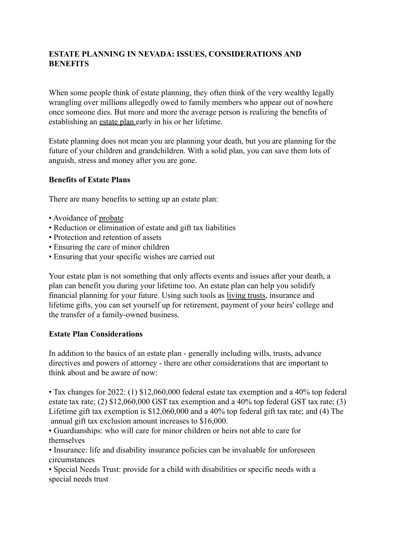## **ESTATE PLANNING IN NEVADA: ISSUES, CONSIDERATIONS AND BENEFITS**

When some people think of estate planning, they often think of the very wealthy legally wrangling over millions allegedly owed to family members who appear out of nowhere once someone dies. But more and more the average person is realizing the benefits of establishing an estate plan early in his or her lifetime.

Estate planning does not mean you are planning your death, but you are planning for the future of your children and grandchildren. With a solid plan, you can save them lots of anguish, stress and money after you are gone.

## **Benefits of Estate Plans**

There are many benefits to setting up an estate plan:

- Avoidance of probate
- Reduction or elimination of estate and gift tax liabilities
- Protection and retention of assets
- Ensuring the care of minor children
- Ensuring that your specific wishes are carried out

Your estate plan is not something that only affects events and issues after your death, a plan can benefit you during your lifetime too. An estate plan can help you solidify financial planning for your future. Using such tools as living trusts, insurance and lifetime gifts, you can set yourself up for retirement, payment of your heirs' college and the transfer of a family-owned business.

## **Estate Plan Considerations**

In addition to the basics of an estate plan - generally including wills, trusts, advance directives and powers of attorney - there are other considerations that are important to think about and be aware of now:

• Tax changes for 2022: (1) \$12,060,000 federal estate tax exemption and a 40% top federal estate tax rate; (2) \$12,060,000 GST tax exemption and a 40% top federal GST tax rate; (3) Lifetime gift tax exemption is \$12,060,000 and a 40% top federal gift tax rate; and (4) The annual gift tax exclusion amount increases to \$16,000.

• Guardianships: who will care for minor children or heirs not able to care for themselves

• Insurance: life and disability insurance policies can be invaluable for unforeseen circumstances

• Special Needs Trust: provide for a child with disabilities or specific needs with a special needs trust